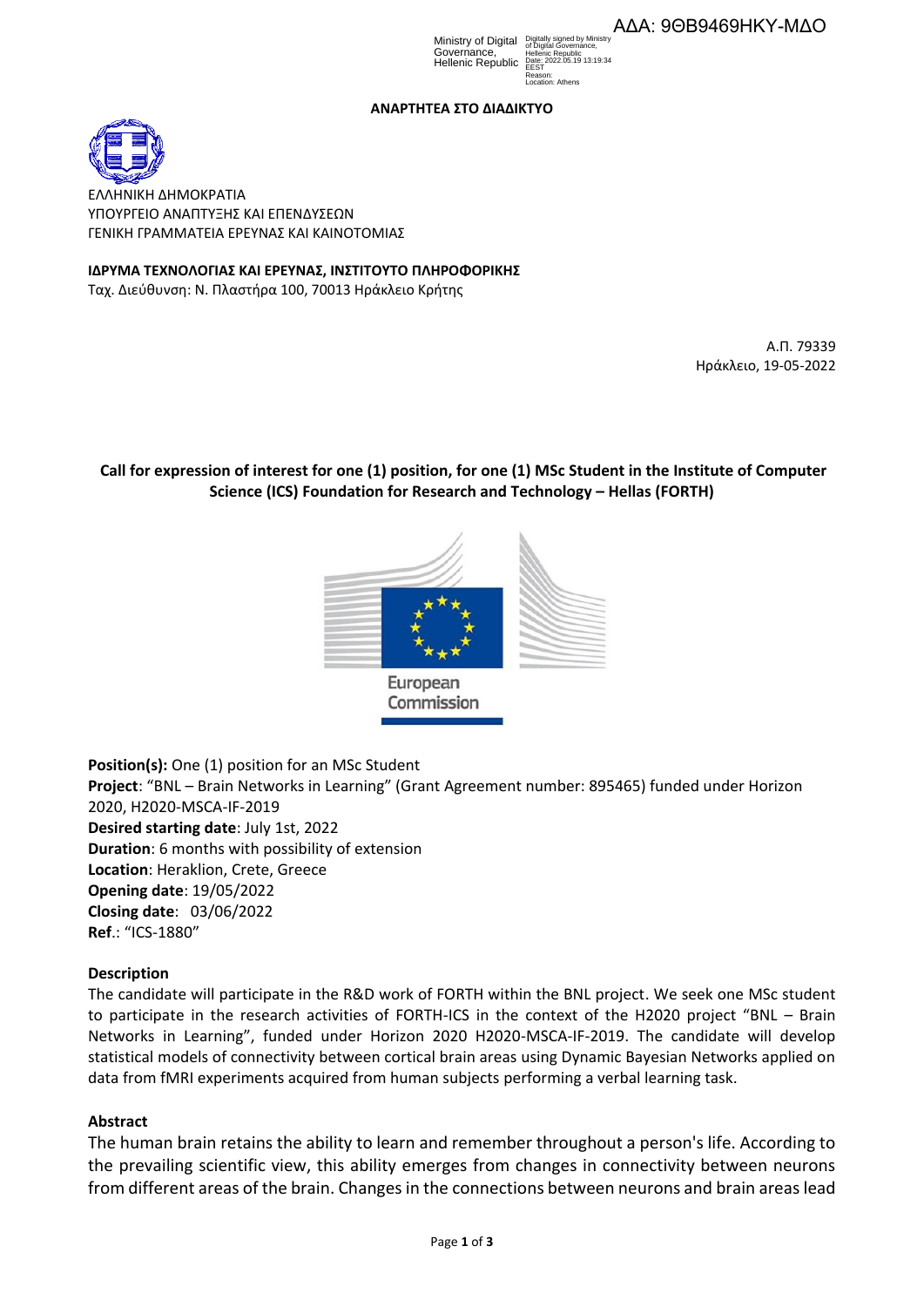Ministry of Digital Digit Governance, Hellenic Republic

Digitally signed by Ministry of Digital Governance, Hellenic Republic Date: 2022.05.19 13:19:34 **FEST** Reason: Location: Athens

### **ΑΝΑΡΤΗΤΕΑ ΣΤO ΔΙΑΔΙΚΤΥΟ**



ΕΛΛΗΝΙΚΗ ΔΗΜΟΚΡΑΤΙΑ ΥΠΟΥΡΓΕΙΟ AΝΑΠΤΥΞΗΣ ΚΑΙ ΕΠΕΝΔΥΣΕΩΝ ΓΕΝΙΚΗ ΓΡΑΜΜΑΤΕΙΑ ΕΡΕΥΝΑΣ ΚΑΙ ΚΑΙΝΟΤΟΜΙΑΣ

**ΙΔΡΥΜΑ ΤΕΧΝΟΛΟΓΙΑΣ ΚΑΙ ΕΡΕΥΝΑΣ, ΙΝΣΤΙΤΟΥΤΟ ΠΛΗΡΟΦΟΡΙΚΗΣ** 

Ταχ. Διεύθυνση: Ν. Πλαστήρα 100, 70013 Ηράκλειο Κρήτης

Α.Π. 79339 Ηράκλειο, 19-05-2022

# **Call for expression of interest for one (1) position, for one (1) MSc Student in the Institute of Computer Science (ICS) Foundation for Research and Technology – Hellas (FORTH)**



**Position(s):** One (1) position for an MSc Student **Project**: "BNL – Brain Networks in Learning" (Grant Agreement number: 895465) funded under Horizon 2020, H2020-MSCA-IF-2019 **Desired starting date**: July 1st, 2022 **Duration**: 6 months with possibility of extension **Location**: Heraklion, Crete, Greece **Opening date**: 19/05/2022 **Closing date**: 03/06/2022 **Ref**.: "ICS-1880"

# **Description**

The candidate will participate in the R&D work of FORTH within the BNL project. We seek one MSc student to participate in the research activities of FORTH-ICS in the context of the H2020 project "BNL – Brain Networks in Learning", funded under Horizon 2020 H2020-MSCA-IF-2019. The candidate will develop statistical models of connectivity between cortical brain areas using Dynamic Bayesian Networks applied on data from fMRI experiments acquired from human subjects performing a verbal learning task.

### **Abstract**

The human brain retains the ability to learn and remember throughout a person's life. According to the prevailing scientific view, this ability emerges from changes in connectivity between neurons from different areas of the brain. Changes in the connections between neurons and brain areas lead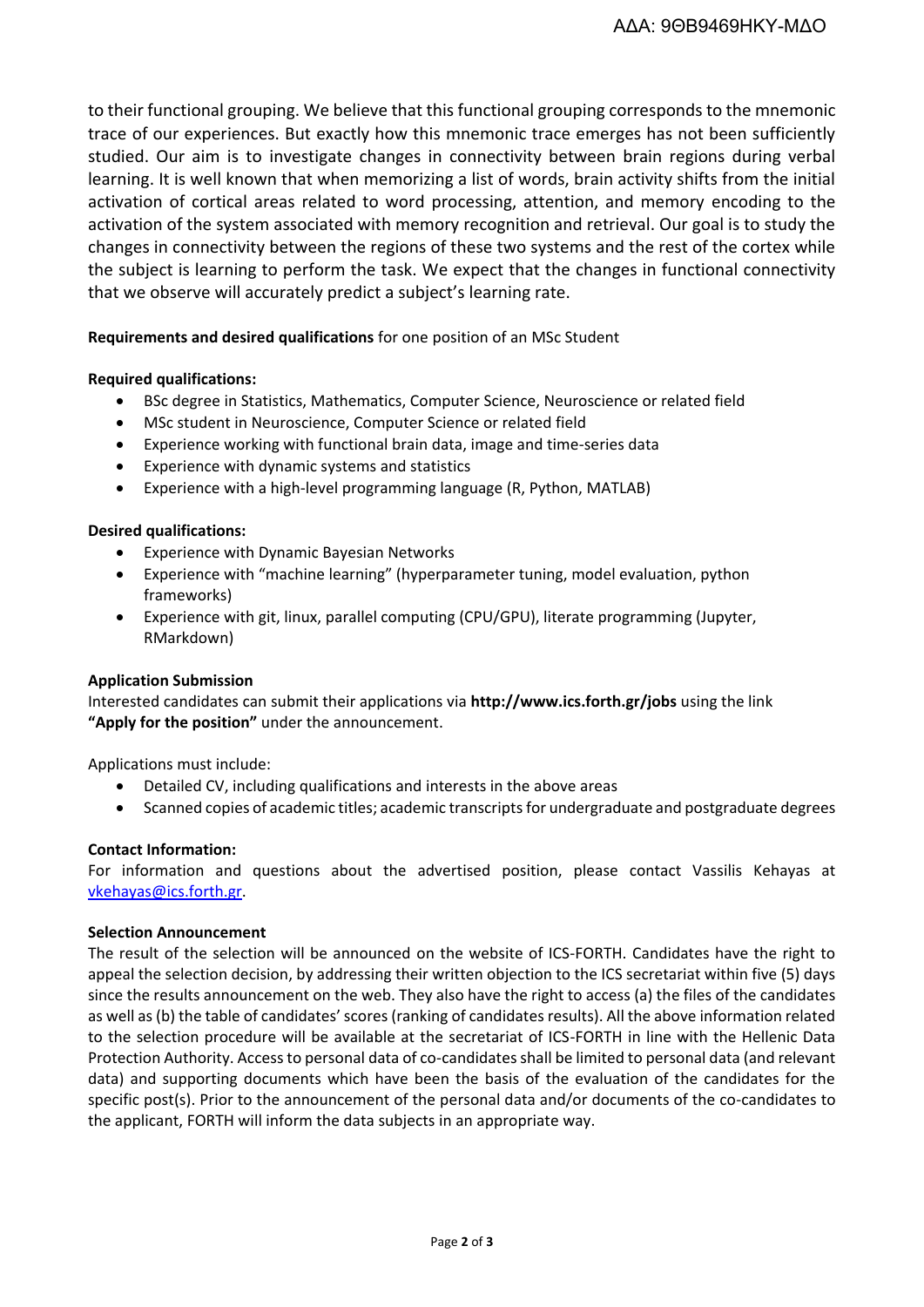to their functional grouping. We believe that this functional grouping corresponds to the mnemonic trace of our experiences. But exactly how this mnemonic trace emerges has not been sufficiently studied. Our aim is to investigate changes in connectivity between brain regions during verbal learning. It is well known that when memorizing a list of words, brain activity shifts from the initial activation of cortical areas related to word processing, attention, and memory encoding to the activation of the system associated with memory recognition and retrieval. Our goal is to study the changes in connectivity between the regions of these two systems and the rest of the cortex while the subject is learning to perform the task. We expect that the changes in functional connectivity that we observe will accurately predict a subject's learning rate.

### **Requirements and desired qualifications** for one position of an MSc Student

### **Required qualifications:**

- BSc degree in Statistics, Mathematics, Computer Science, Neuroscience or related field
- MSc student in Neuroscience, Computer Science or related field
- Experience working with functional brain data, image and time-series data
- Experience with dynamic systems and statistics
- Experience with a high-level programming language (R, Python, MATLAB)

### **Desired qualifications:**

- Experience with Dynamic Bayesian Networks
- Experience with "machine learning" (hyperparameter tuning, model evaluation, python frameworks)
- Experience with git, linux, parallel computing (CPU/GPU), literate programming (Jupyter, RMarkdown)

### **Application Submission**

Interested candidates can submit their applications via **http://www.ics.forth.gr/jobs** using the link **"Apply for the position"** under the announcement.

Applications must include:

- Detailed CV, including qualifications and interests in the above areas
- Scanned copies of academic titles; academic transcriptsfor undergraduate and postgraduate degrees

### **Contact Information:**

For information and questions about the advertised position, please contact Vassilis Kehayas at [vkehayas@ics.forth.gr.](mailto:vkehayas@ics.forth.gr?subject=BNL-student-May2022)

#### **Selection Announcement**

The result of the selection will be announced on the website of ICS-FORTH. Candidates have the right to appeal the selection decision, by addressing their written objection to the ICS secretariat within five (5) days since the results announcement on the web. They also have the right to access (a) the files of the candidates as well as (b) the table of candidates' scores (ranking of candidates results). All the above information related to the selection procedure will be available at the secretariat of ICS-FORTH in line with the Hellenic Data Protection Authority. Access to personal data of co-candidates shall be limited to personal data (and relevant data) and supporting documents which have been the basis of the evaluation of the candidates for the specific post(s). Prior to the announcement of the personal data and/or documents of the co-candidates to the applicant, FORTH will inform the data subjects in an appropriate way.